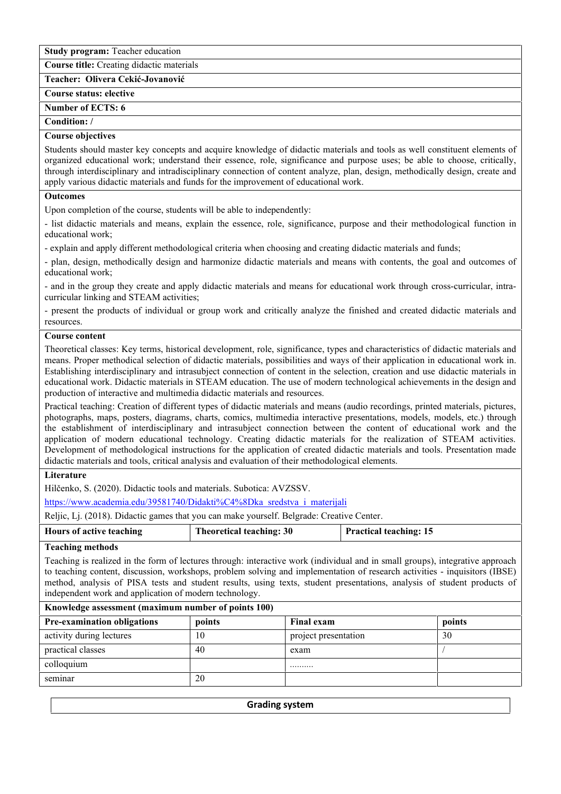**Study program:** Teacher education

**Course title:** Creating didactic materials

**Teacher: Olivera Cekić-Jovanović**

# **Course status: elective**

# **Number of ЕCTS: 6**

# **Condition: /**

## **Course objectives**

Students should master key concepts and acquire knowledge of didactic materials and tools as well constituent elements of organized educational work; understand their essence, role, significance and purpose uses; be able to choose, critically, through interdisciplinary and intradisciplinary connection of content analyze, plan, design, methodically design, create and apply various didactic materials and funds for the improvement of educational work.

## **Outcomes**

Upon completion of the course, students will be able to independently:

- list didactic materials and means, explain the essence, role, significance, purpose and their methodological function in educational work;

- explain and apply different methodological criteria when choosing and creating didactic materials and funds;

- plan, design, methodically design and harmonize didactic materials and means with contents, the goal and outcomes of educational work;

- and in the group they create and apply didactic materials and means for educational work through cross-curricular, intra curricular linking and STEAM activities;

- present the products of individual or group work and critically analyze the finished and created didactic materials and resources.

#### **Course content**

Theoretical classes: Key terms, historical development, role, significance, types and characteristics of didactic materials and means. Proper methodical selection of didactic materials, possibilities and ways of their application in educational work in. Establishing interdisciplinary and intrasubject connection of content in the selection, creation and use didactic materials in educational work. Didactic materials in STEAM education. The use of modern technological achievements in the design and production of interactive and multimedia didactic materials and resources.

Practical teaching: Creation of different types of didactic materials and means (audio recordings, printed materials, pictures, photographs, maps, posters, diagrams, charts, comics, multimedia interactive presentations, models, models, etc.) through the establishment of interdisciplinary and intrasubject connection between the content of educational work and the application of modern educational technology. Creating didactic materials for the realization of STEAM activities. Development of methodological instructions for the application of created didactic materials and tools. Presentation made didactic materials and tools, critical analysis and evaluation of their methodological elements.

## **Literature**

Hilčenko, S. (2020). Didactic tools and materials. Subotica: AVZSSV.

https://www.academia.edu/39581740/Didakti%C4%8Dka\_sredstva\_i\_materijali

Reljic, Lj. (2018). Didactic games that you can make yourself. Belgrade: Creative Center.

| Hours of active teaching | <b>Theoretical teaching: 30</b> | <b>Practical teaching: 15</b> |
|--------------------------|---------------------------------|-------------------------------|
|                          |                                 |                               |

## **Teaching methods**

Teaching is realized in the form of lectures through: interactive work (individual and in small groups), integrative approach to teaching content, discussion, workshops, problem solving and implementation of research activities - inquisitors (IBSE) method, analysis of PISA tests and student results, using texts, student presentations, analysis of student products of independent work and application of modern technology.

| Knowledge assessment (maximum number of points 100) |        |                      |        |  |
|-----------------------------------------------------|--------|----------------------|--------|--|
| <b>Pre-examination obligations</b>                  | points | <b>Final exam</b>    | points |  |
| activity during lectures                            | 10     | project presentation | 30     |  |
| practical classes                                   | 40     | exam                 |        |  |
| colloquium                                          |        |                      |        |  |
| seminar                                             | 20     |                      |        |  |
|                                                     |        |                      |        |  |

**Grading system**